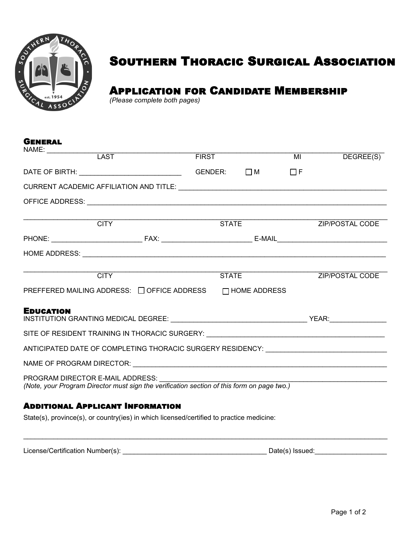

General

# Southern Thoracic Surgical Association

# Application for Candidate Membership

*(Please complete both pages)*

| UENEKAL          |                                                                                          |              |              |                |                        |
|------------------|------------------------------------------------------------------------------------------|--------------|--------------|----------------|------------------------|
| NAME: LAST       |                                                                                          | <b>FIRST</b> |              | $\overline{M}$ | DEGREE(S)              |
|                  |                                                                                          | GENDER:      | $\Box$ M     | $\Box F$       |                        |
|                  |                                                                                          |              |              |                |                        |
|                  |                                                                                          |              |              |                |                        |
|                  | <b>CITY</b>                                                                              |              | <b>STATE</b> |                | ZIP/POSTAL CODE        |
|                  |                                                                                          |              |              |                |                        |
|                  |                                                                                          |              |              |                |                        |
|                  |                                                                                          |              |              |                |                        |
|                  | <b>CITY</b>                                                                              | <b>STATE</b> |              |                | <b>ZIP/POSTAL CODE</b> |
|                  | PREFFERED MAILING ADDRESS: □ OFFICE ADDRESS □ HOME ADDRESS                               |              |              |                |                        |
| <b>EDUCATION</b> |                                                                                          |              |              |                |                        |
|                  | SITE OF RESIDENT TRAINING IN THORACIC SURGERY: __________________________________        |              |              |                |                        |
|                  | ANTICIPATED DATE OF COMPLETING THORACIC SURGERY RESIDENCY: ______________________        |              |              |                |                        |
|                  |                                                                                          |              |              |                |                        |
|                  |                                                                                          |              |              |                |                        |
|                  | <b>ADDITIONAL APPLICANT INFORMATION</b>                                                  |              |              |                |                        |
|                  | State(s), province(s), or country(ies) in which licensed/certified to practice medicine: |              |              |                |                        |
|                  |                                                                                          |              |              |                |                        |

License/Certification Number(s): \_\_\_\_\_\_\_\_\_\_\_\_\_\_\_\_\_\_\_\_\_\_\_\_\_\_\_\_\_\_\_\_\_\_\_\_\_\_ Date(s) Issued:\_\_\_\_\_\_\_\_\_\_\_\_\_\_\_\_\_\_\_

 $\mathcal{L}_\mathcal{L} = \mathcal{L}_\mathcal{L} = \mathcal{L}_\mathcal{L} = \mathcal{L}_\mathcal{L} = \mathcal{L}_\mathcal{L} = \mathcal{L}_\mathcal{L} = \mathcal{L}_\mathcal{L} = \mathcal{L}_\mathcal{L} = \mathcal{L}_\mathcal{L} = \mathcal{L}_\mathcal{L} = \mathcal{L}_\mathcal{L} = \mathcal{L}_\mathcal{L} = \mathcal{L}_\mathcal{L} = \mathcal{L}_\mathcal{L} = \mathcal{L}_\mathcal{L} = \mathcal{L}_\mathcal{L} = \mathcal{L}_\mathcal{L}$